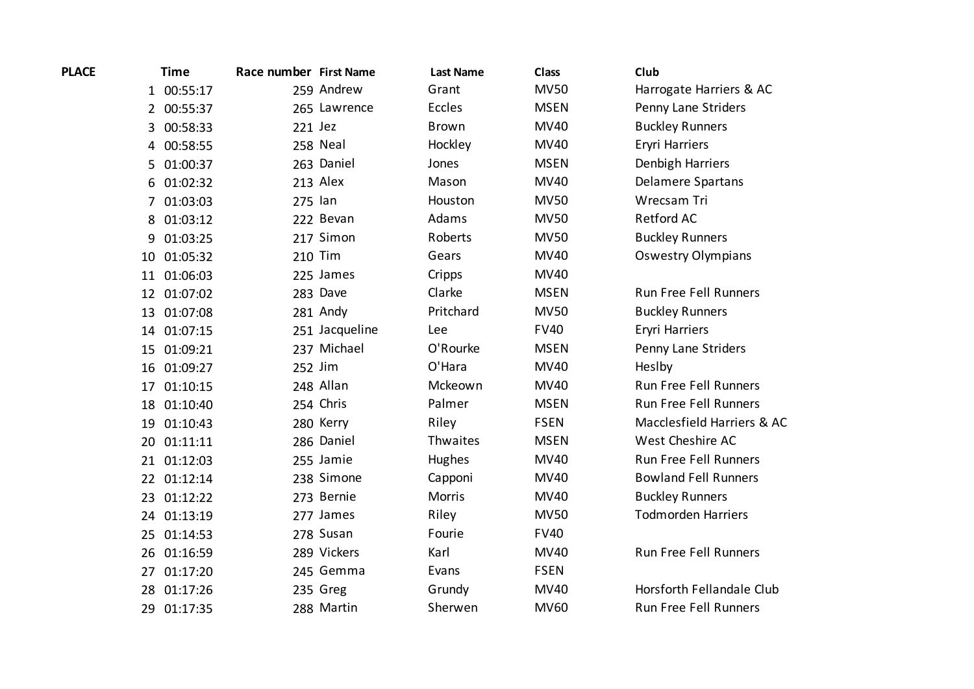| <b>PLACE</b> |              | <b>Time</b> | Race number First Name |                | <b>Last Name</b> | <b>Class</b> | Club                         |
|--------------|--------------|-------------|------------------------|----------------|------------------|--------------|------------------------------|
|              |              | 1 00:55:17  |                        | 259 Andrew     | Grant            | <b>MV50</b>  | Harrogate Harriers & AC      |
|              |              | 2 00:55:37  |                        | 265 Lawrence   | Eccles           | <b>MSEN</b>  | Penny Lane Striders          |
|              | $\mathbf{3}$ | 00:58:33    | 221 Jez                |                | <b>Brown</b>     | <b>MV40</b>  | <b>Buckley Runners</b>       |
|              |              | 4 00:58:55  |                        | 258 Neal       | Hockley          | <b>MV40</b>  | Eryri Harriers               |
|              |              | 5 01:00:37  |                        | 263 Daniel     | Jones            | <b>MSEN</b>  | Denbigh Harriers             |
|              | 6            | 01:02:32    |                        | 213 Alex       | Mason            | <b>MV40</b>  | <b>Delamere Spartans</b>     |
|              | 7            | 01:03:03    | 275 lan                |                | Houston          | <b>MV50</b>  | Wrecsam Tri                  |
|              | 8            | 01:03:12    |                        | 222 Bevan      | Adams            | <b>MV50</b>  | Retford AC                   |
|              | 9            | 01:03:25    |                        | 217 Simon      | Roberts          | <b>MV50</b>  | <b>Buckley Runners</b>       |
|              | 10           | 01:05:32    |                        | 210 Tim        | Gears            | <b>MV40</b>  | <b>Oswestry Olympians</b>    |
|              | 11           | 01:06:03    |                        | 225 James      | Cripps           | <b>MV40</b>  |                              |
|              |              | 12 01:07:02 |                        | 283 Dave       | Clarke           | <b>MSEN</b>  | <b>Run Free Fell Runners</b> |
|              |              | 13 01:07:08 |                        | 281 Andy       | Pritchard        | <b>MV50</b>  | <b>Buckley Runners</b>       |
|              |              | 14 01:07:15 |                        | 251 Jacqueline | Lee              | <b>FV40</b>  | Eryri Harriers               |
|              | 15           | 01:09:21    |                        | 237 Michael    | O'Rourke         | <b>MSEN</b>  | Penny Lane Striders          |
|              |              | 16 01:09:27 |                        | 252 Jim        | O'Hara           | <b>MV40</b>  | Heslby                       |
|              | 17           | 01:10:15    |                        | 248 Allan      | Mckeown          | <b>MV40</b>  | <b>Run Free Fell Runners</b> |
|              |              | 18 01:10:40 |                        | 254 Chris      | Palmer           | <b>MSEN</b>  | Run Free Fell Runners        |
|              | 19           | 01:10:43    |                        | 280 Kerry      | Riley            | <b>FSEN</b>  | Macclesfield Harriers & AC   |
|              |              | 20 01:11:11 |                        | 286 Daniel     | Thwaites         | <b>MSEN</b>  | West Cheshire AC             |
|              |              | 21 01:12:03 |                        | 255 Jamie      | Hughes           | <b>MV40</b>  | Run Free Fell Runners        |
|              |              | 22 01:12:14 |                        | 238 Simone     | Capponi          | <b>MV40</b>  | <b>Bowland Fell Runners</b>  |
|              |              | 23 01:12:22 |                        | 273 Bernie     | Morris           | <b>MV40</b>  | <b>Buckley Runners</b>       |
|              |              | 24 01:13:19 |                        | 277 James      | Riley            | <b>MV50</b>  | <b>Todmorden Harriers</b>    |
|              | 25           | 01:14:53    |                        | 278 Susan      | Fourie           | <b>FV40</b>  |                              |
|              |              | 26 01:16:59 |                        | 289 Vickers    | Karl             | <b>MV40</b>  | Run Free Fell Runners        |
|              | 27           | 01:17:20    |                        | 245 Gemma      | Evans            | <b>FSEN</b>  |                              |
|              | 28           | 01:17:26    |                        | 235 Greg       | Grundy           | <b>MV40</b>  | Horsforth Fellandale Club    |
|              | 29           | 01:17:35    |                        | 288 Martin     | Sherwen          | <b>MV60</b>  | <b>Run Free Fell Runners</b> |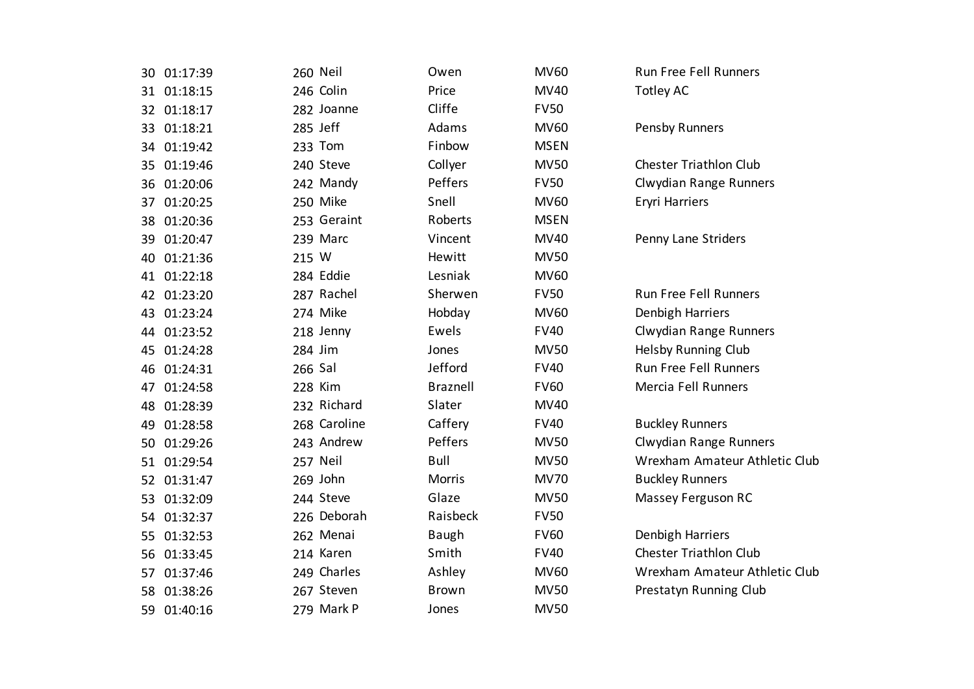|    | 30 01:17:39 | 260 Neil     | Owen            | <b>MV60</b> | Run Free Fell Runners         |
|----|-------------|--------------|-----------------|-------------|-------------------------------|
|    | 31 01:18:15 | 246 Colin    | Price           | MV40        | <b>Totley AC</b>              |
|    | 32 01:18:17 | 282 Joanne   | Cliffe          | <b>FV50</b> |                               |
|    | 33 01:18:21 | 285 Jeff     | Adams           | <b>MV60</b> | Pensby Runners                |
|    | 34 01:19:42 | 233 Tom      | Finbow          | <b>MSEN</b> |                               |
| 35 | 01:19:46    | 240 Steve    | Collyer         | <b>MV50</b> | <b>Chester Triathlon Club</b> |
| 36 | 01:20:06    | 242 Mandy    | Peffers         | <b>FV50</b> | Clwydian Range Runners        |
| 37 | 01:20:25    | 250 Mike     | Snell           | <b>MV60</b> | Eryri Harriers                |
| 38 | 01:20:36    | 253 Geraint  | Roberts         | <b>MSEN</b> |                               |
| 39 | 01:20:47    | 239 Marc     | Vincent         | MV40        | Penny Lane Striders           |
| 40 | 01:21:36    | 215 W        | Hewitt          | <b>MV50</b> |                               |
| 41 | 01:22:18    | 284 Eddie    | Lesniak         | <b>MV60</b> |                               |
|    | 42 01:23:20 | 287 Rachel   | Sherwen         | <b>FV50</b> | <b>Run Free Fell Runners</b>  |
| 43 | 01:23:24    | 274 Mike     | Hobday          | <b>MV60</b> | Denbigh Harriers              |
| 44 | 01:23:52    | 218 Jenny    | Ewels           | <b>FV40</b> | Clwydian Range Runners        |
| 45 | 01:24:28    | 284 Jim      | Jones           | <b>MV50</b> | Helsby Running Club           |
| 46 | 01:24:31    | 266 Sal      | Jefford         | <b>FV40</b> | Run Free Fell Runners         |
| 47 | 01:24:58    | 228 Kim      | <b>Braznell</b> | <b>FV60</b> | Mercia Fell Runners           |
| 48 | 01:28:39    | 232 Richard  | Slater          | <b>MV40</b> |                               |
| 49 | 01:28:58    | 268 Caroline | Caffery         | <b>FV40</b> | <b>Buckley Runners</b>        |
| 50 | 01:29:26    | 243 Andrew   | Peffers         | <b>MV50</b> | Clwydian Range Runners        |
| 51 | 01:29:54    | 257 Neil     | <b>Bull</b>     | <b>MV50</b> | Wrexham Amateur Athletic Club |
| 52 | 01:31:47    | 269 John     | <b>Morris</b>   | <b>MV70</b> | <b>Buckley Runners</b>        |
| 53 | 01:32:09    | 244 Steve    | Glaze           | <b>MV50</b> | Massey Ferguson RC            |
| 54 | 01:32:37    | 226 Deborah  | Raisbeck        | <b>FV50</b> |                               |
| 55 | 01:32:53    | 262 Menai    | <b>Baugh</b>    | <b>FV60</b> | Denbigh Harriers              |
| 56 | 01:33:45    | 214 Karen    | Smith           | <b>FV40</b> | <b>Chester Triathlon Club</b> |
| 57 | 01:37:46    | 249 Charles  | Ashley          | <b>MV60</b> | Wrexham Amateur Athletic Club |
| 58 | 01:38:26    | 267 Steven   | <b>Brown</b>    | <b>MV50</b> | Prestatyn Running Club        |
|    | 59 01:40:16 | 279 Mark P   | Jones           | <b>MV50</b> |                               |